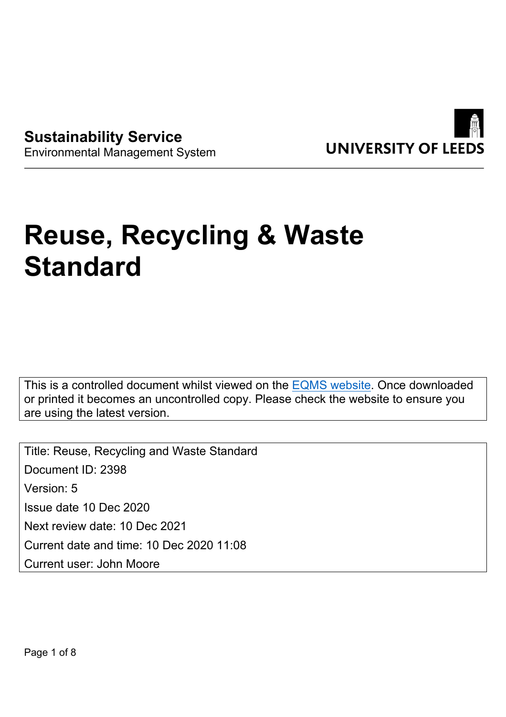

**Sustainability Service** Environmental Management System

# **Reuse, Recycling & Waste Standard**

This is a controlled document whilst viewed on the [EQMS website](https://universityofleeds.myeqms.com/Login/Login.aspx). Once downloaded or printed it becomes an uncontrolled copy. Please check the website to ensure you are using the latest version.

Title: Reuse, Recycling and Waste Standard Document ID: 2398 Version: 5 Issue date 10 Dec 2020 Next review date: 10 Dec 2021 Current date and time: 10 Dec 2020 11:08 Current user: John Moore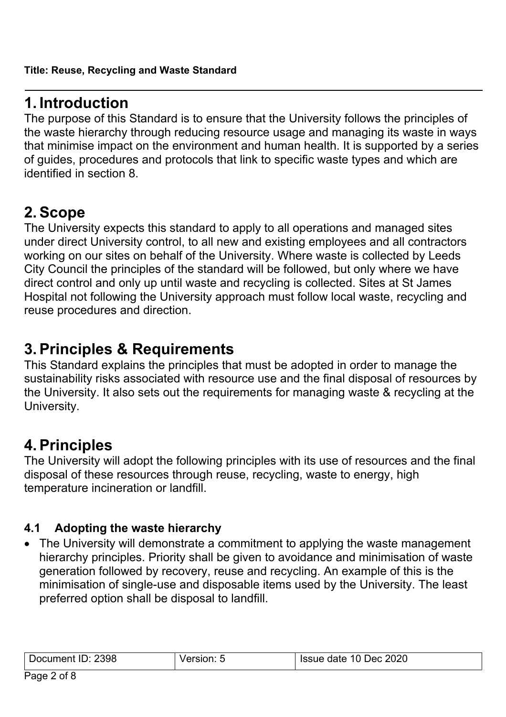## **1. Introduction**

The purpose of this Standard is to ensure that the University follows the principles of the waste hierarchy through reducing resource usage and managing its waste in ways that minimise impact on the environment and human health. It is supported by a series of guides, procedures and protocols that link to specific waste types and which are identified in section 8.

# **2. Scope**

The University expects this standard to apply to all operations and managed sites under direct University control, to all new and existing employees and all contractors working on our sites on behalf of the University. Where waste is collected by Leeds City Council the principles of the standard will be followed, but only where we have direct control and only up until waste and recycling is collected. Sites at St James Hospital not following the University approach must follow local waste, recycling and reuse procedures and direction.

## **3. Principles & Requirements**

This Standard explains the principles that must be adopted in order to manage the sustainability risks associated with resource use and the final disposal of resources by the University. It also sets out the requirements for managing waste & recycling at the University.

# **4. Principles**

The University will adopt the following principles with its use of resources and the final disposal of these resources through reuse, recycling, waste to energy, high temperature incineration or landfill.

#### **4.1 Adopting the waste hierarchy**

• The University will demonstrate a commitment to applying the waste management hierarchy principles. Priority shall be given to avoidance and minimisation of waste generation followed by recovery, reuse and recycling. An example of this is the minimisation of single-use and disposable items used by the University. The least preferred option shall be disposal to landfill.

| Document ID: 2398 | <b>SION: 5</b> | Issue date 10 Dec 2020 |
|-------------------|----------------|------------------------|
|                   |                |                        |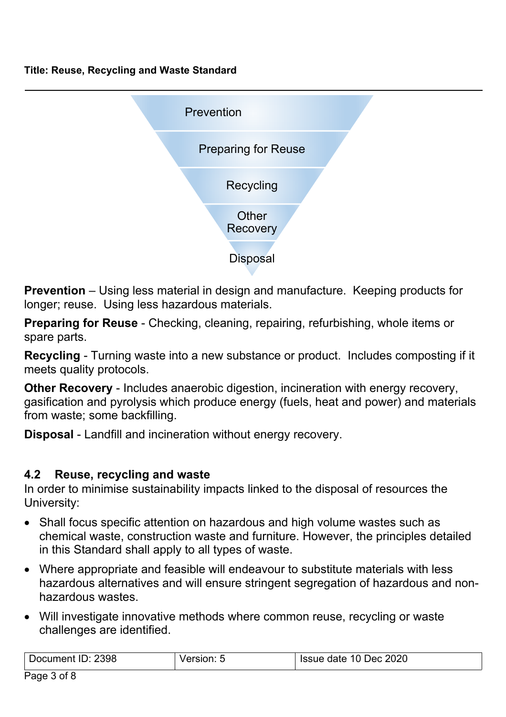**Title: Reuse, Recycling and Waste Standard**



**Prevention** – Using less material in design and manufacture. Keeping products for longer; reuse. Using less hazardous materials.

**Preparing for Reuse** - Checking, cleaning, repairing, refurbishing, whole items or spare parts.

**Recycling** - Turning waste into a new substance or product. Includes composting if it meets quality protocols.

**Other Recovery** - Includes anaerobic digestion, incineration with energy recovery, gasification and pyrolysis which produce energy (fuels, heat and power) and materials from waste; some backfilling.

**Disposal** - Landfill and incineration without energy recovery.

#### **4.2 Reuse, recycling and waste**

In order to minimise sustainability impacts linked to the disposal of resources the University:

- Shall focus specific attention on hazardous and high volume wastes such as chemical waste, construction waste and furniture. However, the principles detailed in this Standard shall apply to all types of waste.
- Where appropriate and feasible will endeavour to substitute materials with less hazardous alternatives and will ensure stringent segregation of hazardous and nonhazardous wastes.
- Will investigate innovative methods where common reuse, recycling or waste challenges are identified.

| 2398<br>' )ocument ∶<br>שו | $-$ <b><i><u>PAIAL</u></i></b><br>sion. a | 10 Dec 2020<br>lssue date ' |
|----------------------------|-------------------------------------------|-----------------------------|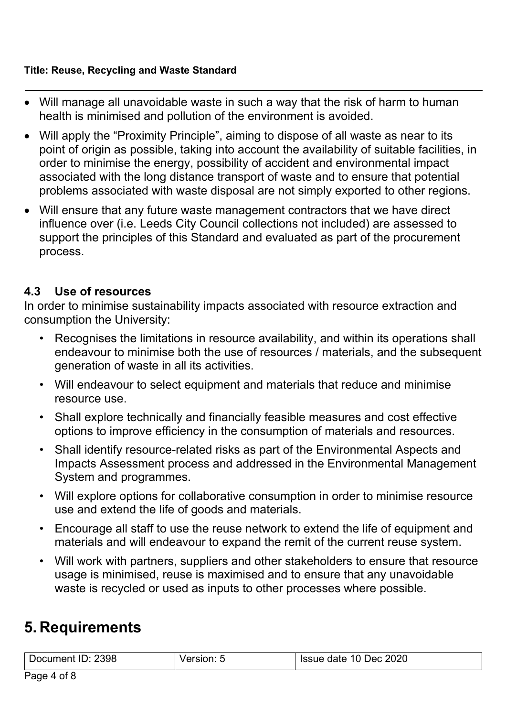#### **Title: Reuse, Recycling and Waste Standard**

- Will manage all unavoidable waste in such a way that the risk of harm to human health is minimised and pollution of the environment is avoided.
- Will apply the "Proximity Principle", aiming to dispose of all waste as near to its point of origin as possible, taking into account the availability of suitable facilities, in order to minimise the energy, possibility of accident and environmental impact associated with the long distance transport of waste and to ensure that potential problems associated with waste disposal are not simply exported to other regions.
- Will ensure that any future waste management contractors that we have direct influence over (i.e. Leeds City Council collections not included) are assessed to support the principles of this Standard and evaluated as part of the procurement process.

#### **4.3 Use of resources**

In order to minimise sustainability impacts associated with resource extraction and consumption the University:

- Recognises the limitations in resource availability, and within its operations shall endeavour to minimise both the use of resources / materials, and the subsequent generation of waste in all its activities.
- Will endeavour to select equipment and materials that reduce and minimise resource use.
- Shall explore technically and financially feasible measures and cost effective options to improve efficiency in the consumption of materials and resources.
- Shall identify resource-related risks as part of the Environmental Aspects and Impacts Assessment process and addressed in the Environmental Management System and programmes.
- Will explore options for collaborative consumption in order to minimise resource use and extend the life of goods and materials.
- Encourage all staff to use the reuse network to extend the life of equipment and materials and will endeavour to expand the remit of the current reuse system.
- Will work with partners, suppliers and other stakeholders to ensure that resource usage is minimised, reuse is maximised and to ensure that any unavoidable waste is recycled or used as inputs to other processes where possible.

# **5. Requirements**

| Document ID: 2398 | version <sup>.</sup> | Issue date 10 Dec 2020 |
|-------------------|----------------------|------------------------|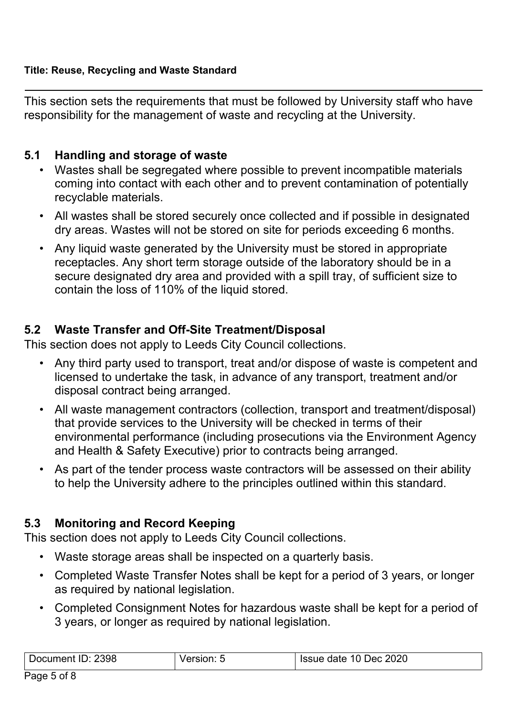This section sets the requirements that must be followed by University staff who have responsibility for the management of waste and recycling at the University.

#### **5.1 Handling and storage of waste**

- Wastes shall be segregated where possible to prevent incompatible materials coming into contact with each other and to prevent contamination of potentially recyclable materials.
- All wastes shall be stored securely once collected and if possible in designated dry areas. Wastes will not be stored on site for periods exceeding 6 months.
- Any liquid waste generated by the University must be stored in appropriate receptacles. Any short term storage outside of the laboratory should be in a secure designated dry area and provided with a spill tray, of sufficient size to contain the loss of 110% of the liquid stored.

#### **5.2 Waste Transfer and Off-Site Treatment/Disposal**

This section does not apply to Leeds City Council collections.

- Any third party used to transport, treat and/or dispose of waste is competent and licensed to undertake the task, in advance of any transport, treatment and/or disposal contract being arranged.
- All waste management contractors (collection, transport and treatment/disposal) that provide services to the University will be checked in terms of their environmental performance (including prosecutions via the Environment Agency and Health & Safety Executive) prior to contracts being arranged.
- As part of the tender process waste contractors will be assessed on their ability to help the University adhere to the principles outlined within this standard.

#### **5.3 Monitoring and Record Keeping**

This section does not apply to Leeds City Council collections.

- Waste storage areas shall be inspected on a quarterly basis.
- Completed Waste Transfer Notes shall be kept for a period of 3 years, or longer as required by national legislation.
- Completed Consignment Notes for hazardous waste shall be kept for a period of 3 years, or longer as required by national legislation.

| Document ID: 2398 | ersion: | Issue date 10 Dec 2020 |
|-------------------|---------|------------------------|
|                   |         |                        |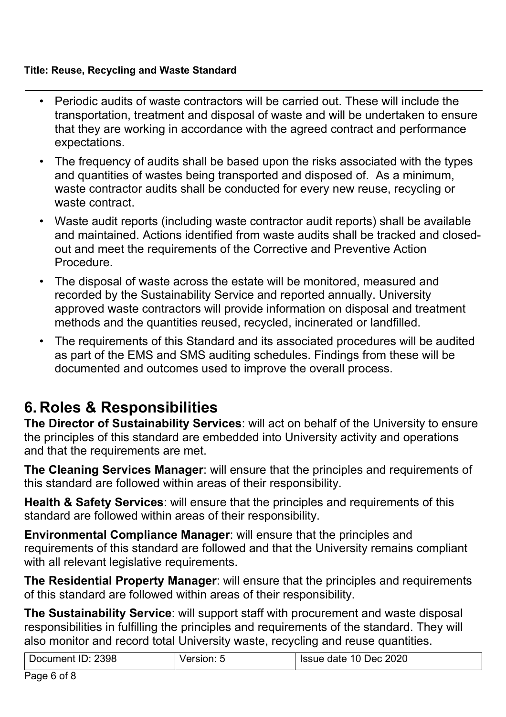#### **Title: Reuse, Recycling and Waste Standard**

- Periodic audits of waste contractors will be carried out. These will include the transportation, treatment and disposal of waste and will be undertaken to ensure that they are working in accordance with the agreed contract and performance expectations.
- The frequency of audits shall be based upon the risks associated with the types and quantities of wastes being transported and disposed of. As a minimum, waste contractor audits shall be conducted for every new reuse, recycling or waste contract.
- Waste audit reports (including waste contractor audit reports) shall be available and maintained. Actions identified from waste audits shall be tracked and closedout and meet the requirements of the Corrective and Preventive Action Procedure.
- The disposal of waste across the estate will be monitored, measured and recorded by the Sustainability Service and reported annually. University approved waste contractors will provide information on disposal and treatment methods and the quantities reused, recycled, incinerated or landfilled.
- The requirements of this Standard and its associated procedures will be audited as part of the EMS and SMS auditing schedules. Findings from these will be documented and outcomes used to improve the overall process.

# **6. Roles & Responsibilities**

**The Director of Sustainability Services**: will act on behalf of the University to ensure the principles of this standard are embedded into University activity and operations and that the requirements are met.

**The Cleaning Services Manager**: will ensure that the principles and requirements of this standard are followed within areas of their responsibility.

**Health & Safety Services**: will ensure that the principles and requirements of this standard are followed within areas of their responsibility.

**Environmental Compliance Manager**: will ensure that the principles and requirements of this standard are followed and that the University remains compliant with all relevant legislative requirements.

**The Residential Property Manager**: will ensure that the principles and requirements of this standard are followed within areas of their responsibility.

**The Sustainability Service**: will support staff with procurement and waste disposal responsibilities in fulfilling the principles and requirements of the standard. They will also monitor and record total University waste, recycling and reuse quantities.

| Document ID: 2398 | Issue date 10 Dec 2020 |
|-------------------|------------------------|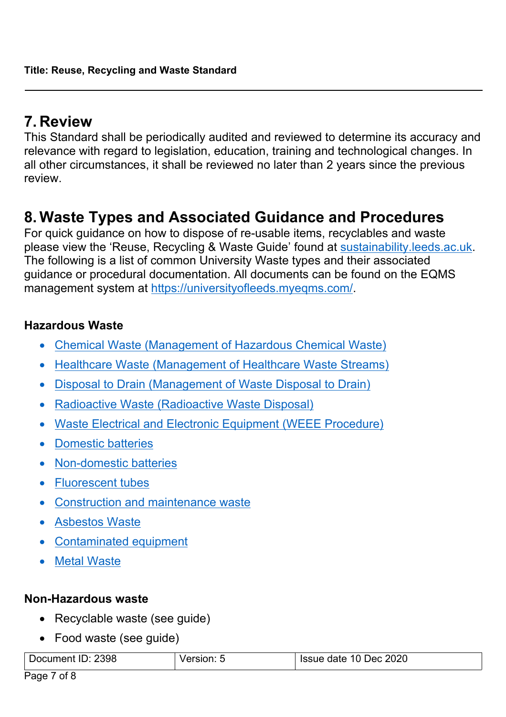## **7. Review**

This Standard shall be periodically audited and reviewed to determine its accuracy and relevance with regard to legislation, education, training and technological changes. In all other circumstances, it shall be reviewed no later than 2 years since the previous review.

### **8. Waste Types and Associated Guidance and Procedures**

For quick guidance on how to dispose of re-usable items, recyclables and waste please view the 'Reuse, Recycling & Waste Guide' found at [sustainability.leeds.ac.uk](https://sustainability.leeds.ac.uk/). The following is a list of common University Waste types and their associated guidance or procedural documentation. All documents can be found on the EQMS management system at <https://universityofleeds.myeqms.com/>.

#### **Hazardous Waste**

- [Chemical Waste \(Management of Hazardous Chemical Waste\)](http://wsh.leeds.ac.uk/info/233/hazardous_chemical_waste/269/hazardous_chemical_waste)
- [Healthcare Waste \(Management of Healthcare Waste Streams\)](http://wsh.leeds.ac.uk/info/232/healthcare_waste/267/healthcare_waste)
- [Disposal to Drain \(Management of Waste Disposal to Drain\)](http://wsh.leeds.ac.uk/info/234/disposal_to_drain/153/disposal_to_drain)
- Radioactive Waste (Radioactive Waste Disposal)
- [Waste Electrical and Electronic Equipment \(WEEE Procedure\)](http://sustainability.leeds.ac.uk/ems/)
- [Domestic batteries](http://sustainability.leeds.ac.uk/get-involved/reduce-your-environmental-impact/recycling/)
- [Non-domestic batteries](https://sustainability.leeds.ac.uk/get-involved/reduce-your-environmental-impact/recycling/)
- Fluorescent tubes
- [Construction and maintenance waste](https://sustainability.leeds.ac.uk/ems/)
- [Asbestos Waste](http://wsh.leeds.ac.uk/info/184/asbestos/107/asbestos)
- [Contaminated equipment](https://sustainability.leeds.ac.uk/get-involved/reduce-your-environmental-impact/recycling/)
- [Metal Waste](https://sustainability.leeds.ac.uk/get-involved/reduce-your-environmental-impact/recycling/)

#### **Non-Hazardous waste**

- Recyclable waste (see guide)
- Food waste (see quide)

| Document ID: 2398 | sion | Issue date 10 Dec 2020 |
|-------------------|------|------------------------|